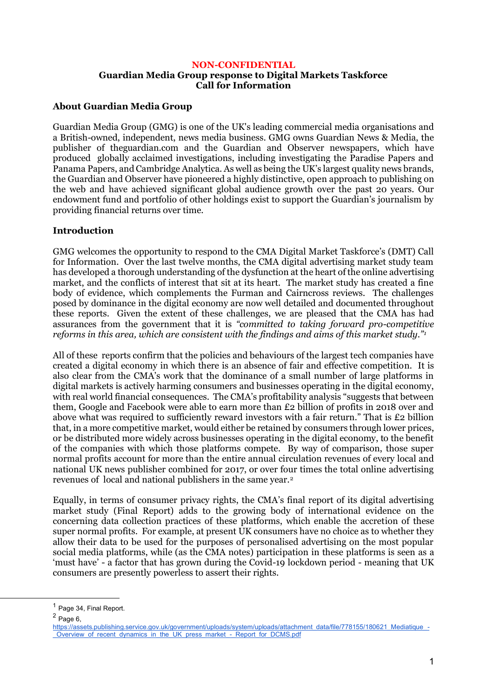## **NON-CONFIDENTIAL Guardian Media Group response to Digital Markets Taskforce Call for Information**

# **About Guardian Media Group**

Guardian Media Group (GMG) is one of the UK's leading commercial media organisations and a British-owned, independent, news media business. GMG owns Guardian News & Media, the publisher of theguardian.com and the Guardian and Observer newspapers, which have produced globally acclaimed investigations, including investigating the Paradise Papers and Panama Papers, and Cambridge Analytica. As well as being the UK's largest quality news brands, the Guardian and Observer have pioneered a highly distinctive, open approach to publishing on the web and have achieved significant global audience growth over the past 20 years. Our endowment fund and portfolio of other holdings exist to support the Guardian's journalism by providing financial returns over time.

# **Introduction**

GMG welcomes the opportunity to respond to the CMA Digital Market Taskforce's (DMT) Call for Information. Over the last twelve months, the CMA digital advertising market study team has developed a thorough understanding of the dysfunction at the heart of the online advertising market, and the conflicts of interest that sit at its heart. The market study has created a fine body of evidence, which complements the Furman and Cairncross reviews. The challenges posed by dominance in the digital economy are now well detailed and documented throughout these reports. Given the extent of these challenges, we are pleased that the CMA has had assurances from the government that it is *"committed to taking forward pro-competitive reforms in this area, which are consistent with the findings and aims of this market study."<sup>1</sup>*

All of these reports confirm that the policies and behaviours of the largest tech companies have created a digital economy in which there is an absence of fair and effective competition. It is also clear from the CMA's work that the dominance of a small number of large platforms in digital markets is actively harming consumers and businesses operating in the digital economy, with real world financial consequences. The CMA's profitability analysis "suggests that between them, Google and Facebook were able to earn more than £2 billion of profits in 2018 over and above what was required to sufficiently reward investors with a fair return." That is  $E_2$  billion that, in a more competitive market, would either be retained by consumers through lower prices, or be distributed more widely across businesses operating in the digital economy, to the benefit of the companies with which those platforms compete. By way of comparison, those super normal profits account for more than the entire annual circulation revenues of every local and national UK news publisher combined for 2017, or over four times the total online advertising revenues of local and national publishers in the same year.<sup>2</sup>

Equally, in terms of consumer privacy rights, the CMA's final report of its digital advertising market study (Final Report) adds to the growing body of international evidence on the concerning data collection practices of these platforms, which enable the accretion of these super normal profits. For example, at present UK consumers have no choice as to whether they allow their data to be used for the purposes of personalised advertising on the most popular social media platforms, while (as the CMA notes) participation in these platforms is seen as a 'must have' - a factor that has grown during the Covid-19 lockdown period - meaning that UK consumers are presently powerless to assert their rights.

<sup>&</sup>lt;sup>1</sup> Page 34, Final Report.

 $2$  Page 6,

[https://assets.publishing.service.gov.uk/government/uploads/system/uploads/attachment\\_data/file/778155/180621\\_Mediatique\\_-](https://assets.publishing.service.gov.uk/government/uploads/system/uploads/attachment_data/file/778155/180621_Mediatique_-_Overview_of_recent_dynamics_in_the_UK_press_market_-_Report_for_DCMS.pdf) Overview of recent dynamics in the UK press\_market - Report for DCMS.pdf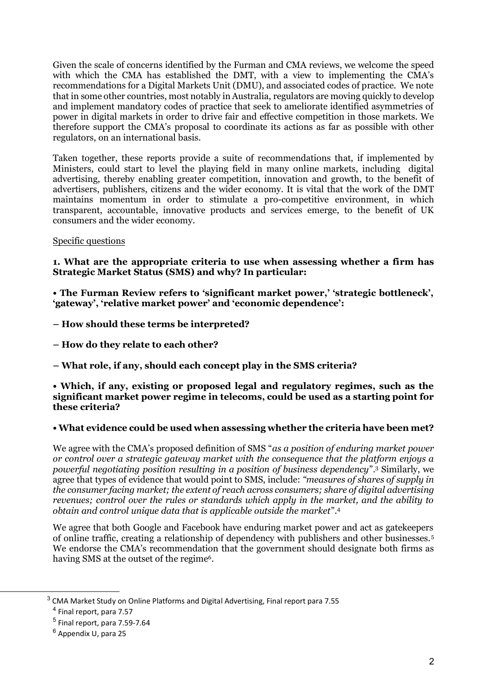Given the scale of concerns identified by the Furman and CMA reviews, we welcome the speed with which the CMA has established the DMT, with a view to implementing the CMA's recommendations for a Digital Markets Unit (DMU), and associated codes of practice. We note that in some other countries, most notably in Australia, regulators are moving quickly to develop and implement mandatory codes of practice that seek to ameliorate identified asymmetries of power in digital markets in order to drive fair and effective competition in those markets. We therefore support the CMA's proposal to coordinate its actions as far as possible with other regulators, on an international basis.

Taken together, these reports provide a suite of recommendations that, if implemented by Ministers, could start to level the playing field in many online markets, including digital advertising, thereby enabling greater competition, innovation and growth, to the benefit of advertisers, publishers, citizens and the wider economy. It is vital that the work of the DMT maintains momentum in order to stimulate a pro-competitive environment, in which transparent, accountable, innovative products and services emerge, to the benefit of UK consumers and the wider economy.

## Specific questions

**1. What are the appropriate criteria to use when assessing whether a firm has Strategic Market Status (SMS) and why? In particular:** 

**• The Furman Review refers to 'significant market power,' 'strategic bottleneck', 'gateway', 'relative market power' and 'economic dependence':** 

- **– How should these terms be interpreted?**
- **– How do they relate to each other?**
- **– What role, if any, should each concept play in the SMS criteria?**

#### **• Which, if any, existing or proposed legal and regulatory regimes, such as the significant market power regime in telecoms, could be used as a starting point for these criteria?**

## **• What evidence could be used when assessing whether the criteria have been met?**

We agree with the CMA's proposed definition of SMS "*as a position of enduring market power or control over a strategic gateway market with the consequence that the platform enjoys a powerful negotiating position resulting in a position of business dependency*".<sup>3</sup> Similarly, we agree that types of evidence that would point to SMS, include: *"measures of shares of supply in the consumer facing market; the extent of reach across consumers; share of digital advertising revenues; control over the rules or standards which apply in the market, and the ability to obtain and control unique data that is applicable outside the market*".<sup>4</sup>

We agree that both Google and Facebook have enduring market power and act as gatekeepers of online traffic, creating a relationship of dependency with publishers and other businesses.<sup>5</sup> We endorse the CMA's recommendation that the government should designate both firms as having SMS at the outset of the regime<sup>6</sup>.

 $^3$  CMA Market Study on Online Platforms and Digital Advertising, Final report para 7.55

<sup>4</sup> Final report, para 7.57

<sup>5</sup> Final report, para 7.59-7.64

<sup>6</sup> Appendix U, para 25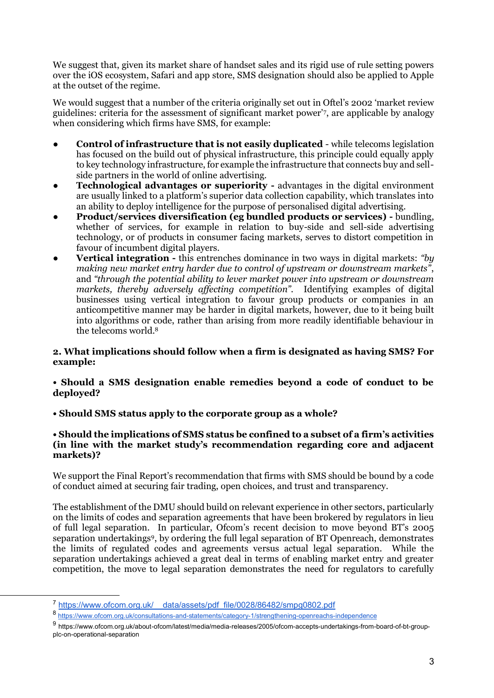We suggest that, given its market share of handset sales and its rigid use of rule setting powers over the iOS ecosystem, Safari and app store, SMS designation should also be applied to Apple at the outset of the regime.

We would suggest that a number of the criteria originally set out in Oftel's 2002 'market review guidelines: criteria for the assessment of significant market power'<sup>7</sup> , are applicable by analogy when considering which firms have SMS, for example:

- **Control of infrastructure that is not easily duplicated** while telecoms legislation has focused on the build out of physical infrastructure, this principle could equally apply to key technology infrastructure, for example the infrastructure that connects buy and sellside partners in the world of online advertising.
- **Technological advantages or superiority -** advantages in the digital environment are usually linked to a platform's superior data collection capability, which translates into an ability to deploy intelligence for the purpose of personalised digital advertising.
- **Product/services diversification (eg bundled products or services) -** bundling, whether of services, for example in relation to buy-side and sell-side advertising technology, or of products in consumer facing markets, serves to distort competition in favour of incumbent digital players.
- **Vertical integration -** this entrenches dominance in two ways in digital markets: *"by making new market entry harder due to control of upstream or downstream markets"*, and *"through the potential ability to lever market power into upstream or downstream markets, thereby adversely affecting competition".* Identifying examples of digital businesses using vertical integration to favour group products or companies in an anticompetitive manner may be harder in digital markets, however, due to it being built into algorithms or code, rather than arising from more readily identifiable behaviour in the telecoms world.<sup>8</sup>

# **2. What implications should follow when a firm is designated as having SMS? For example:**

## **• Should a SMS designation enable remedies beyond a code of conduct to be deployed?**

**• Should SMS status apply to the corporate group as a whole?** 

#### **• Should the implications of SMS status be confined to a subset of a firm's activities (in line with the market study's recommendation regarding core and adjacent markets)?**

We support the Final Report's recommendation that firms with SMS should be bound by a code of conduct aimed at securing fair trading, open choices, and trust and transparency.

The establishment of the DMU should build on relevant experience in other sectors, particularly on the limits of codes and separation agreements that have been brokered by regulators in lieu of full legal separation. In particular, Ofcom's recent decision to move beyond BT's 2005 separation undertakings<sup>9</sup>, by ordering the full legal separation of BT Openreach, demonstrates the limits of regulated codes and agreements versus actual legal separation. While the separation undertakings achieved a great deal in terms of enabling market entry and greater competition, the move to legal separation demonstrates the need for regulators to carefully

<sup>9</sup> https://www.ofcom.org.uk/about-ofcom/latest/media/media-releases/2005/ofcom-accepts-undertakings-from-board-of-bt-groupplc-on-operational-separation

<sup>7</sup> [https://www.ofcom.org.uk/\\_\\_data/assets/pdf\\_file/0028/86482/smpg0802.pdf](https://www.ofcom.org.uk/__data/assets/pdf_file/0028/86482/smpg0802.pdf)

<sup>8</sup> <https://www.ofcom.org.uk/consultations-and-statements/category-1/strengthening-openreachs-independence>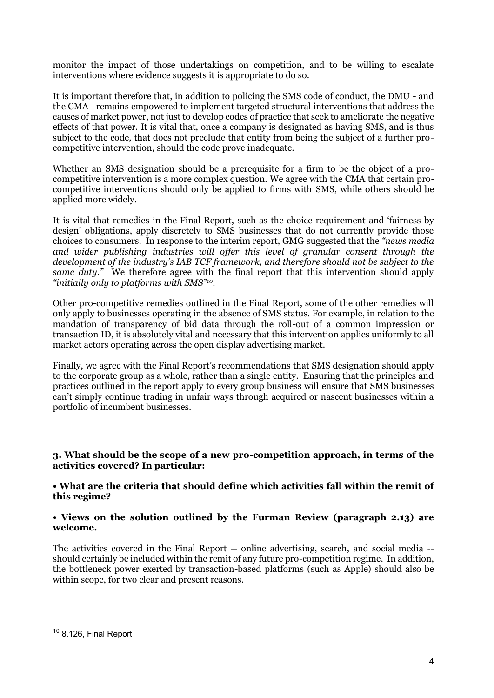monitor the impact of those undertakings on competition, and to be willing to escalate interventions where evidence suggests it is appropriate to do so.

It is important therefore that, in addition to policing the SMS code of conduct, the DMU - and the CMA - remains empowered to implement targeted structural interventions that address the causes of market power, not just to develop codes of practice that seek to ameliorate the negative effects of that power. It is vital that, once a company is designated as having SMS, and is thus subject to the code, that does not preclude that entity from being the subject of a further procompetitive intervention, should the code prove inadequate.

Whether an SMS designation should be a prerequisite for a firm to be the object of a procompetitive intervention is a more complex question. We agree with the CMA that certain procompetitive interventions should only be applied to firms with SMS, while others should be applied more widely.

It is vital that remedies in the Final Report, such as the choice requirement and 'fairness by design' obligations, apply discretely to SMS businesses that do not currently provide those choices to consumers. In response to the interim report, GMG suggested that the *"news media and wider publishing industries will offer this level of granular consent through the development of the industry's IAB TCF framework, and therefore should not be subject to the same duty."* We therefore agree with the final report that this intervention should apply *"initially only to platforms with SMS"10*.

Other pro-competitive remedies outlined in the Final Report, some of the other remedies will only apply to businesses operating in the absence of SMS status. For example, in relation to the mandation of transparency of bid data through the roll-out of a common impression or transaction ID, it is absolutely vital and necessary that this intervention applies uniformly to all market actors operating across the open display advertising market.

Finally, we agree with the Final Report's recommendations that SMS designation should apply to the corporate group as a whole, rather than a single entity. Ensuring that the principles and practices outlined in the report apply to every group business will ensure that SMS businesses can't simply continue trading in unfair ways through acquired or nascent businesses within a portfolio of incumbent businesses.

#### **3. What should be the scope of a new pro-competition approach, in terms of the activities covered? In particular:**

**• What are the criteria that should define which activities fall within the remit of this regime?**

## **• Views on the solution outlined by the Furman Review (paragraph 2.13) are welcome.**

The activities covered in the Final Report -- online advertising, search, and social media - should certainly be included within the remit of any future pro-competition regime. In addition, the bottleneck power exerted by transaction-based platforms (such as Apple) should also be within scope, for two clear and present reasons.

 $10$  8.126, Final Report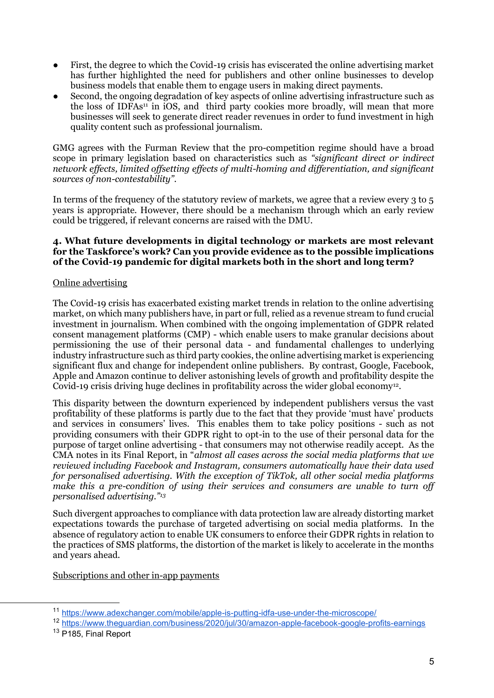- First, the degree to which the Covid-19 crisis has eviscerated the online advertising market has further highlighted the need for publishers and other online businesses to develop business models that enable them to engage users in making direct payments.
- Second, the ongoing degradation of key aspects of online advertising infrastructure such as the loss of IDFAs<sup>11</sup> in iOS, and third party cookies more broadly, will mean that more businesses will seek to generate direct reader revenues in order to fund investment in high quality content such as professional journalism.

GMG agrees with the Furman Review that the pro-competition regime should have a broad scope in primary legislation based on characteristics such as *"significant direct or indirect network effects, limited offsetting effects of multi-homing and differentiation, and significant sources of non-contestability"*.

In terms of the frequency of the statutory review of markets, we agree that a review every 3 to 5 years is appropriate. However, there should be a mechanism through which an early review could be triggered, if relevant concerns are raised with the DMU.

#### **4. What future developments in digital technology or markets are most relevant for the Taskforce's work? Can you provide evidence as to the possible implications of the Covid-19 pandemic for digital markets both in the short and long term?**

## Online advertising

The Covid-19 crisis has exacerbated existing market trends in relation to the online advertising market, on which many publishers have, in part or full, relied as a revenue stream to fund crucial investment in journalism. When combined with the ongoing implementation of GDPR related consent management platforms (CMP) - which enable users to make granular decisions about permissioning the use of their personal data - and fundamental challenges to underlying industry infrastructure such as third party cookies, the online advertising market is experiencing significant flux and change for independent online publishers. By contrast, Google, Facebook, Apple and Amazon continue to deliver astonishing levels of growth and profitability despite the Covid-19 crisis driving huge declines in profitability across the wider global economy<sup>12</sup>.

This disparity between the downturn experienced by independent publishers versus the vast profitability of these platforms is partly due to the fact that they provide 'must have' products and services in consumers' lives. This enables them to take policy positions - such as not providing consumers with their GDPR right to opt-in to the use of their personal data for the purpose of target online advertising - that consumers may not otherwise readily accept. As the CMA notes in its Final Report, in "*almost all cases across the social media platforms that we reviewed including Facebook and Instagram, consumers automatically have their data used for personalised advertising. With the exception of TikTok, all other social media platforms*  make this a pre-condition of using their services and consumers are unable to turn off *personalised advertising."<sup>13</sup>*

Such divergent approaches to compliance with data protection law are already distorting market expectations towards the purchase of targeted advertising on social media platforms. In the absence of regulatory action to enable UK consumers to enforce their GDPR rights in relation to the practices of SMS platforms, the distortion of the market is likely to accelerate in the months and years ahead.

Subscriptions and other in-app payments

<sup>11</sup> <https://www.adexchanger.com/mobile/apple-is-putting-idfa-use-under-the-microscope/>

<sup>12</sup> <https://www.theguardian.com/business/2020/jul/30/amazon-apple-facebook-google-profits-earnings>

<sup>13</sup> P185, Final Report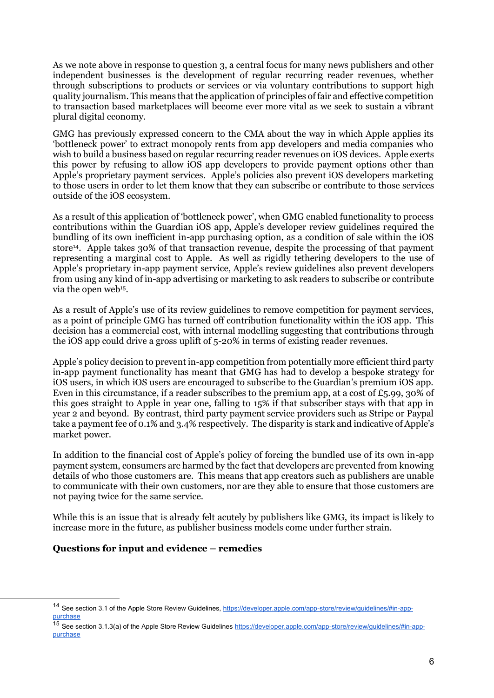As we note above in response to question 3, a central focus for many news publishers and other independent businesses is the development of regular recurring reader revenues, whether through subscriptions to products or services or via voluntary contributions to support high quality journalism. This means that the application of principles of fair and effective competition to transaction based marketplaces will become ever more vital as we seek to sustain a vibrant plural digital economy.

GMG has previously expressed concern to the CMA about the way in which Apple applies its 'bottleneck power' to extract monopoly rents from app developers and media companies who wish to build a business based on regular recurring reader revenues on iOS devices. Apple exerts this power by refusing to allow iOS app developers to provide payment options other than Apple's proprietary payment services. Apple's policies also prevent iOS developers marketing to those users in order to let them know that they can subscribe or contribute to those services outside of the iOS ecosystem.

As a result of this application of 'bottleneck power', when GMG enabled functionality to process contributions within the Guardian iOS app, Apple's developer review guidelines required the bundling of its own inefficient in-app purchasing option, as a condition of sale within the iOS store<sup>14</sup>. Apple takes 30% of that transaction revenue, despite the processing of that payment representing a marginal cost to Apple. As well as rigidly tethering developers to the use of Apple's proprietary in-app payment service, Apple's review guidelines also prevent developers from using any kind of in-app advertising or marketing to ask readers to subscribe or contribute via the open web<sup>15</sup> .

As a result of Apple's use of its review guidelines to remove competition for payment services, as a point of principle GMG has turned off contribution functionality within the iOS app. This decision has a commercial cost, with internal modelling suggesting that contributions through the iOS app could drive a gross uplift of 5-20% in terms of existing reader revenues.

Apple's policy decision to prevent in-app competition from potentially more efficient third party in-app payment functionality has meant that GMG has had to develop a bespoke strategy for iOS users, in which iOS users are encouraged to subscribe to the Guardian's premium iOS app. Even in this circumstance, if a reader subscribes to the premium app, at a cost of £5.99, 30% of this goes straight to Apple in year one, falling to 15% if that subscriber stays with that app in year 2 and beyond. By contrast, third party payment service providers such as Stripe or Paypal take a payment fee of 0.1% and 3.4% respectively. The disparity is stark and indicative of Apple's market power.

In addition to the financial cost of Apple's policy of forcing the bundled use of its own in-app payment system, consumers are harmed by the fact that developers are prevented from knowing details of who those customers are. This means that app creators such as publishers are unable to communicate with their own customers, nor are they able to ensure that those customers are not paying twice for the same service.

While this is an issue that is already felt acutely by publishers like GMG, its impact is likely to increase more in the future, as publisher business models come under further strain.

# **Questions for input and evidence – remedies**

<sup>&</sup>lt;sup>14</sup> See section 3.1 of the Apple Store Review Guidelines[, https://developer.apple.com/app-store/review/guidelines/#in-app](https://developer.apple.com/app-store/review/guidelines/#in-app-purchase)[purchase](https://developer.apple.com/app-store/review/guidelines/#in-app-purchase)

<sup>&</sup>lt;sup>15</sup> See section 3.1.3(a) of the Apple Store Review Guidelines [https://developer.apple.com/app-store/review/guidelines/#in-app](https://developer.apple.com/app-store/review/guidelines/#in-app-purchase)[purchase](https://developer.apple.com/app-store/review/guidelines/#in-app-purchase)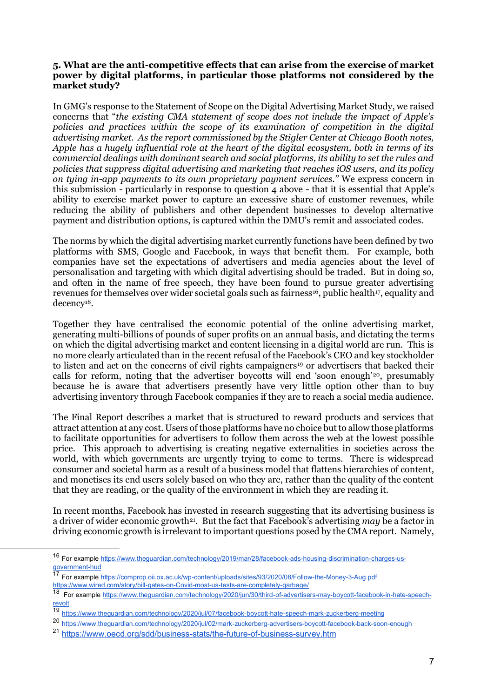## **5. What are the anti-competitive effects that can arise from the exercise of market power by digital platforms, in particular those platforms not considered by the market study?**

In GMG's response to the Statement of Scope on the Digital Advertising Market Study, we raised concerns that "*the existing CMA statement of scope does not include the impact of Apple's*  policies and practices within the scope of its examination of competition in the digital *advertising market. As the report commissioned by the Stigler Center at Chicago Booth notes, Apple has a hugely influential role at the heart of the digital ecosystem, both in terms of its commercial dealings with dominant search and social platforms, its ability to set the rules and policies that suppress digital advertising and marketing that reaches iOS users, and its policy on tying in-app payments to its own proprietary payment services."* We express concern in this submission - particularly in response to question 4 above - that it is essential that Apple's ability to exercise market power to capture an excessive share of customer revenues, while reducing the ability of publishers and other dependent businesses to develop alternative payment and distribution options, is captured within the DMU's remit and associated codes.

The norms by which the digital advertising market currently functions have been defined by two platforms with SMS, Google and Facebook, in ways that benefit them. For example, both companies have set the expectations of advertisers and media agencies about the level of personalisation and targeting with which digital advertising should be traded. But in doing so, and often in the name of free speech, they have been found to pursue greater advertising revenues for themselves over wider societal goals such as fairness<sup>16</sup>, public health<sup>17</sup>, equality and decency18.

Together they have centralised the economic potential of the online advertising market, generating multi-billions of pounds of super profits on an annual basis, and dictating the terms on which the digital advertising market and content licensing in a digital world are run. This is no more clearly articulated than in the recent refusal of the Facebook's CEO and key stockholder to listen and act on the concerns of civil rights campaigners<sup>19</sup> or advertisers that backed their calls for reform, noting that the advertiser boycotts will end 'soon enough'<sup>20</sup>, presumably because he is aware that advertisers presently have very little option other than to buy advertising inventory through Facebook companies if they are to reach a social media audience.

The Final Report describes a market that is structured to reward products and services that attract attention at any cost. Users of those platforms have no choice but to allow those platforms to facilitate opportunities for advertisers to follow them across the web at the lowest possible price. This approach to advertising is creating negative externalities in societies across the world, with which governments are urgently trying to come to terms. There is widespread consumer and societal harm as a result of a business model that flattens hierarchies of content, and monetises its end users solely based on who they are, rather than the quality of the content that they are reading, or the quality of the environment in which they are reading it.

In recent months, Facebook has invested in research suggesting that its advertising business is a driver of wider economic growth<sup>21</sup>. But the fact that Facebook's advertising *may* be a factor in driving economic growth is irrelevant to important questions posed by the CMA report. Namely,

<sup>16</sup> For exampl[e https://www.theguardian.com/technology/2019/mar/28/facebook-ads-housing-discrimination-charges-us](https://www.theguardian.com/technology/2019/mar/28/facebook-ads-housing-discrimination-charges-us-government-hud)[government-hud](https://www.theguardian.com/technology/2019/mar/28/facebook-ads-housing-discrimination-charges-us-government-hud)

<sup>17</sup> For exampl[e https://comprop.oii.ox.ac.uk/wp-content/uploads/sites/93/2020/08/Follow-the-Money-3-Aug.pdf](https://comprop.oii.ox.ac.uk/wp-content/uploads/sites/93/2020/08/Follow-the-Money-3-Aug.pdf) [https://www.wired.com/story/bill-gates-on-Covid-most-us-tests-are-completely-garbage/](https://www.wired.com/story/bill-gates-on-covid-most-us-tests-are-completely-garbage/)

<sup>18</sup> For exampl[e https://www.theguardian.com/technology/2020/jun/30/third-of-advertisers-may-boycott-facebook-in-hate-speech](https://www.theguardian.com/technology/2020/jun/30/third-of-advertisers-may-boycott-facebook-in-hate-speech-revolt)[revolt](https://www.theguardian.com/technology/2020/jun/30/third-of-advertisers-may-boycott-facebook-in-hate-speech-revolt)

<sup>19</sup> <https://www.theguardian.com/technology/2020/jul/07/facebook-boycott-hate-speech-mark-zuckerberg-meeting>

<sup>20</sup> <https://www.theguardian.com/technology/2020/jul/02/mark-zuckerberg-advertisers-boycott-facebook-back-soon-enough>

<sup>&</sup>lt;sup>21</sup> <https://www.oecd.org/sdd/business-stats/the-future-of-business-survey.htm>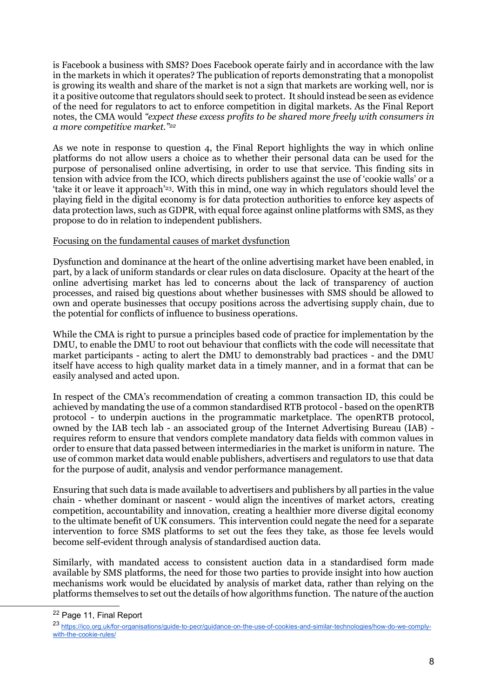is Facebook a business with SMS? Does Facebook operate fairly and in accordance with the law in the markets in which it operates? The publication of reports demonstrating that a monopolist is growing its wealth and share of the market is not a sign that markets are working well, nor is it a positive outcome that regulators should seek to protect. It should instead be seen as evidence of the need for regulators to act to enforce competition in digital markets. As the Final Report notes, the CMA would *"expect these excess profits to be shared more freely with consumers in a more competitive market."<sup>22</sup>*

As we note in response to question 4, the Final Report highlights the way in which online platforms do not allow users a choice as to whether their personal data can be used for the purpose of personalised online advertising, in order to use that service. This finding sits in tension with advice from the ICO, which directs publishers against the use of 'cookie walls' or a 'take it or leave it approach'23. With this in mind, one way in which regulators should level the playing field in the digital economy is for data protection authorities to enforce key aspects of data protection laws, such as GDPR, with equal force against online platforms with SMS, as they propose to do in relation to independent publishers.

#### Focusing on the fundamental causes of market dysfunction

Dysfunction and dominance at the heart of the online advertising market have been enabled, in part, by a lack of uniform standards or clear rules on data disclosure. Opacity at the heart of the online advertising market has led to concerns about the lack of transparency of auction processes, and raised big questions about whether businesses with SMS should be allowed to own and operate businesses that occupy positions across the advertising supply chain, due to the potential for conflicts of influence to business operations.

While the CMA is right to pursue a principles based code of practice for implementation by the DMU, to enable the DMU to root out behaviour that conflicts with the code will necessitate that market participants - acting to alert the DMU to demonstrably bad practices - and the DMU itself have access to high quality market data in a timely manner, and in a format that can be easily analysed and acted upon.

In respect of the CMA's recommendation of creating a common transaction ID, this could be achieved by mandating the use of a common standardised RTB protocol - based on the openRTB protocol - to underpin auctions in the programmatic marketplace. The openRTB protocol, owned by the IAB tech lab - an associated group of the Internet Advertising Bureau (IAB) requires reform to ensure that vendors complete mandatory data fields with common values in order to ensure that data passed between intermediaries in the market is uniform in nature. The use of common market data would enable publishers, advertisers and regulators to use that data for the purpose of audit, analysis and vendor performance management.

Ensuring that such data is made available to advertisers and publishers by all parties in the value chain - whether dominant or nascent - would align the incentives of market actors, creating competition, accountability and innovation, creating a healthier more diverse digital economy to the ultimate benefit of UK consumers. This intervention could negate the need for a separate intervention to force SMS platforms to set out the fees they take, as those fee levels would become self-evident through analysis of standardised auction data.

Similarly, with mandated access to consistent auction data in a standardised form made available by SMS platforms, the need for those two parties to provide insight into how auction mechanisms work would be elucidated by analysis of market data, rather than relying on the platforms themselves to set out the details of how algorithms function. The nature of the auction

<sup>&</sup>lt;sup>22</sup> Page 11, Final Report

<sup>23</sup> [https://ico.org.uk/for-organisations/guide-to-pecr/guidance-on-the-use-of-cookies-and-similar-technologies/how-do-we-comply](https://ico.org.uk/for-organisations/guide-to-pecr/guidance-on-the-use-of-cookies-and-similar-technologies/how-do-we-comply-with-the-cookie-rules/)[with-the-cookie-rules/](https://ico.org.uk/for-organisations/guide-to-pecr/guidance-on-the-use-of-cookies-and-similar-technologies/how-do-we-comply-with-the-cookie-rules/)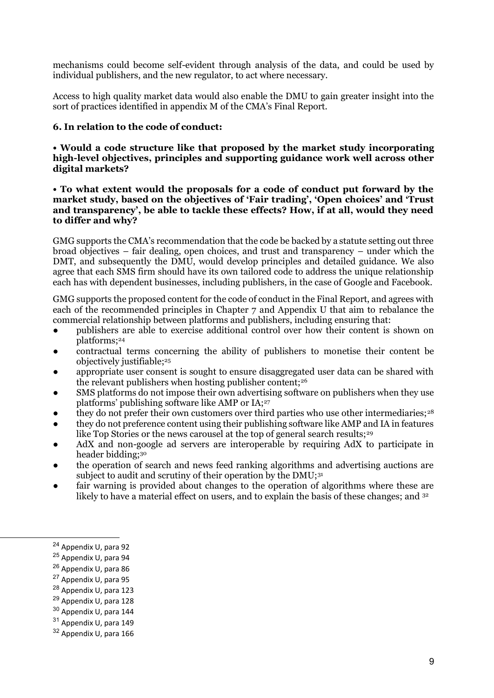mechanisms could become self-evident through analysis of the data, and could be used by individual publishers, and the new regulator, to act where necessary.

Access to high quality market data would also enable the DMU to gain greater insight into the sort of practices identified in appendix M of the CMA's Final Report.

## **6. In relation to the code of conduct:**

**• Would a code structure like that proposed by the market study incorporating high-level objectives, principles and supporting guidance work well across other digital markets?** 

**• To what extent would the proposals for a code of conduct put forward by the market study, based on the objectives of 'Fair trading', 'Open choices' and 'Trust and transparency', be able to tackle these effects? How, if at all, would they need to differ and why?**

GMG supports the CMA's recommendation that the code be backed by a statute setting out three broad objectives – fair dealing, open choices, and trust and transparency – under which the DMT, and subsequently the DMU, would develop principles and detailed guidance. We also agree that each SMS firm should have its own tailored code to address the unique relationship each has with dependent businesses, including publishers, in the case of Google and Facebook.

GMG supports the proposed content for the code of conduct in the Final Report, and agrees with each of the recommended principles in Chapter 7 and Appendix U that aim to rebalance the commercial relationship between platforms and publishers, including ensuring that:

- publishers are able to exercise additional control over how their content is shown on platforms;<sup>24</sup>
- contractual terms concerning the ability of publishers to monetise their content be objectively justifiable;<sup>25</sup>
- appropriate user consent is sought to ensure disaggregated user data can be shared with the relevant publishers when hosting publisher content;<sup>26</sup>
- SMS platforms do not impose their own advertising software on publishers when they use platforms' publishing software like AMP or IA;<sup>27</sup>
- they do not prefer their own customers over third parties who use other intermediaries;<sup>28</sup>
- they do not preference content using their publishing software like AMP and IA in features like Top Stories or the news carousel at the top of general search results;<sup>29</sup>
- AdX and non-google ad servers are interoperable by requiring AdX to participate in header bidding;<sup>30</sup>
- the operation of search and news feed ranking algorithms and advertising auctions are subject to audit and scrutiny of their operation by the DMU;<sup>31</sup>
- fair warning is provided about changes to the operation of algorithms where these are likely to have a material effect on users, and to explain the basis of these changes; and <sup>32</sup>

<sup>28</sup> Appendix U, para 123

<sup>24</sup> Appendix U, para 92

<sup>25</sup> Appendix U, para 94

<sup>26</sup> Appendix U, para 86

<sup>27</sup> Appendix U, para 95

<sup>29</sup> Appendix U, para 128

 $30$  Appendix U, para 144

<sup>31</sup> Appendix U, para 149

<sup>32</sup> Appendix U, para 166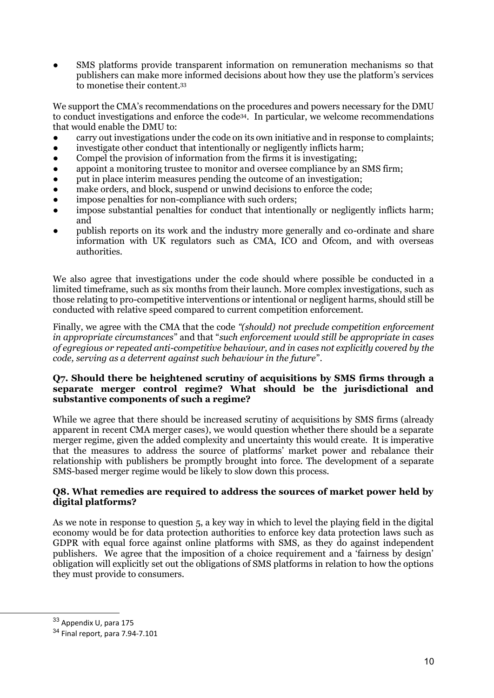SMS platforms provide transparent information on remuneration mechanisms so that publishers can make more informed decisions about how they use the platform's services to monetise their content.<sup>33</sup>

We support the CMA's recommendations on the procedures and powers necessary for the DMU to conduct investigations and enforce the code34. In particular, we welcome recommendations that would enable the DMU to:

- carry out investigations under the code on its own initiative and in response to complaints;
- investigate other conduct that intentionally or negligently inflicts harm;
- Compel the provision of information from the firms it is investigating;
- appoint a monitoring trustee to monitor and oversee compliance by an SMS firm;
- put in place interim measures pending the outcome of an investigation;
- make orders, and block, suspend or unwind decisions to enforce the code;
- impose penalties for non-compliance with such orders;
- impose substantial penalties for conduct that intentionally or negligently inflicts harm; and
- publish reports on its work and the industry more generally and co-ordinate and share information with UK regulators such as CMA, ICO and Ofcom, and with overseas authorities.

We also agree that investigations under the code should where possible be conducted in a limited timeframe, such as six months from their launch. More complex investigations, such as those relating to pro-competitive interventions or intentional or negligent harms, should still be conducted with relative speed compared to current competition enforcement.

Finally, we agree with the CMA that the code *"(should) not preclude competition enforcement in appropriate circumstances*" and that "*such enforcement would still be appropriate in cases of egregious or repeated anti-competitive behaviour, and in cases not explicitly covered by the code, serving as a deterrent against such behaviour in the future*".

## **Q7. Should there be heightened scrutiny of acquisitions by SMS firms through a separate merger control regime? What should be the jurisdictional and substantive components of such a regime?**

While we agree that there should be increased scrutiny of acquisitions by SMS firms (already apparent in recent CMA merger cases), we would question whether there should be a separate merger regime, given the added complexity and uncertainty this would create. It is imperative that the measures to address the source of platforms' market power and rebalance their relationship with publishers be promptly brought into force. The development of a separate SMS-based merger regime would be likely to slow down this process.

## **Q8. What remedies are required to address the sources of market power held by digital platforms?**

As we note in response to question 5, a key way in which to level the playing field in the digital economy would be for data protection authorities to enforce key data protection laws such as GDPR with equal force against online platforms with SMS, as they do against independent publishers. We agree that the imposition of a choice requirement and a 'fairness by design' obligation will explicitly set out the obligations of SMS platforms in relation to how the options they must provide to consumers.

<sup>33</sup> Appendix U, para 175

<sup>34</sup> Final report, para 7.94-7.101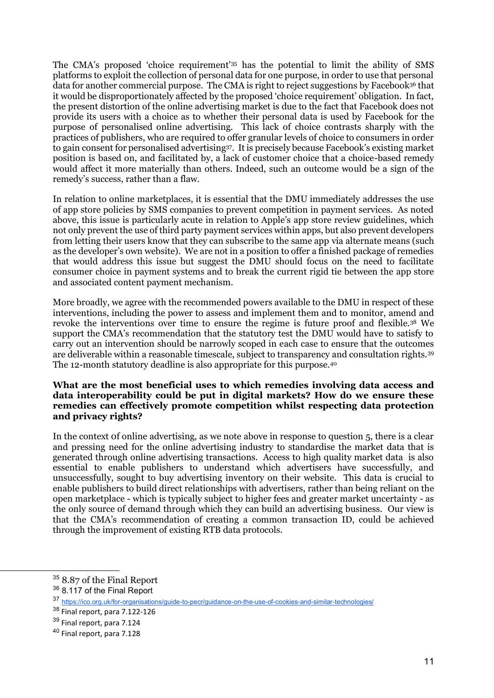The CMA's proposed 'choice requirement'<sup>35</sup> has the potential to limit the ability of SMS platforms to exploit the collection of personal data for one purpose, in order to use that personal data for another commercial purpose. The CMA is right to reject suggestions by Facebook<sup>36</sup> that it would be disproportionately affected by the proposed 'choice requirement' obligation. In fact, the present distortion of the online advertising market is due to the fact that Facebook does not provide its users with a choice as to whether their personal data is used by Facebook for the purpose of personalised online advertising. This lack of choice contrasts sharply with the practices of publishers, who are required to offer granular levels of choice to consumers in order to gain consent for personalised advertising37. It is precisely because Facebook's existing market position is based on, and facilitated by, a lack of customer choice that a choice-based remedy would affect it more materially than others. Indeed, such an outcome would be a sign of the remedy's success, rather than a flaw.

In relation to online marketplaces, it is essential that the DMU immediately addresses the use of app store policies by SMS companies to prevent competition in payment services. As noted above, this issue is particularly acute in relation to Apple's app store review guidelines, which not only prevent the use of third party payment services within apps, but also prevent developers from letting their users know that they can subscribe to the same app via alternate means (such as the developer's own website). We are not in a position to offer a finished package of remedies that would address this issue but suggest the DMU should focus on the need to facilitate consumer choice in payment systems and to break the current rigid tie between the app store and associated content payment mechanism.

More broadly, we agree with the recommended powers available to the DMU in respect of these interventions, including the power to assess and implement them and to monitor, amend and revoke the interventions over time to ensure the regime is future proof and flexible.<sup>38</sup> We support the CMA's recommendation that the statutory test the DMU would have to satisfy to carry out an intervention should be narrowly scoped in each case to ensure that the outcomes are deliverable within a reasonable timescale, subject to transparency and consultation rights.<sup>39</sup> The 12-month statutory deadline is also appropriate for this purpose.<sup>40</sup>

#### **What are the most beneficial uses to which remedies involving data access and data interoperability could be put in digital markets? How do we ensure these remedies can effectively promote competition whilst respecting data protection and privacy rights?**

In the context 0f online advertising, as we note above in response to question 5, there is a clear and pressing need for the online advertising industry to standardise the market data that is generated through online advertising transactions. Access to high quality market data is also essential to enable publishers to understand which advertisers have successfully, and unsuccessfully, sought to buy advertising inventory on their website. This data is crucial to enable publishers to build direct relationships with advertisers, rather than being reliant on the open marketplace - which is typically subject to higher fees and greater market uncertainty - as the only source of demand through which they can build an advertising business. Our view is that the CMA's recommendation of creating a common transaction ID, could be achieved through the improvement of existing RTB data protocols.

<sup>35</sup> 8.87 of the Final Report

<sup>&</sup>lt;sup>36</sup> 8.117 of the Final Report

<sup>37</sup> <https://ico.org.uk/for-organisations/guide-to-pecr/guidance-on-the-use-of-cookies-and-similar-technologies/>

 $38$  Final report, para 7.122-126

<sup>&</sup>lt;sup>39</sup> Final report, para 7.124

<sup>40</sup> Final report, para 7.128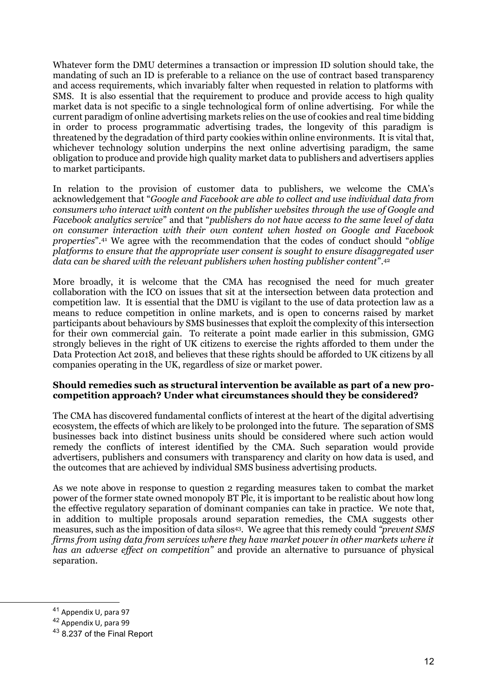Whatever form the DMU determines a transaction or impression ID solution should take, the mandating of such an ID is preferable to a reliance on the use of contract based transparency and access requirements, which invariably falter when requested in relation to platforms with SMS. It is also essential that the requirement to produce and provide access to high quality market data is not specific to a single technological form of online advertising. For while the current paradigm of online advertising markets relies on the use of cookies and real time bidding in order to process programmatic advertising trades, the longevity of this paradigm is threatened by the degradation of third party cookies within online environments. It is vital that, whichever technology solution underpins the next online advertising paradigm, the same obligation to produce and provide high quality market data to publishers and advertisers applies to market participants.

In relation to the provision of customer data to publishers, we welcome the CMA's acknowledgement that "*Google and Facebook are able to collect and use individual data from consumers who interact with content on the publisher websites through the use of Google and Facebook analytics service*" and that "*publishers do not have access to the same level of data on consumer interaction with their own content when hosted on Google and Facebook properties*".<sup>41</sup> We agree with the recommendation that the codes of conduct should "*oblige platforms to ensure that the appropriate user consent is sought to ensure disaggregated user data can be shared with the relevant publishers when hosting publisher content*".<sup>42</sup>

More broadly, it is welcome that the CMA has recognised the need for much greater collaboration with the ICO on issues that sit at the intersection between data protection and competition law. It is essential that the DMU is vigilant to the use of data protection law as a means to reduce competition in online markets, and is open to concerns raised by market participants about behaviours by SMS businesses that exploit the complexity of this intersection for their own commercial gain. To reiterate a point made earlier in this submission, GMG strongly believes in the right of UK citizens to exercise the rights afforded to them under the Data Protection Act 2018, and believes that these rights should be afforded to UK citizens by all companies operating in the UK, regardless of size or market power.

#### **Should remedies such as structural intervention be available as part of a new procompetition approach? Under what circumstances should they be considered?**

The CMA has discovered fundamental conflicts of interest at the heart of the digital advertising ecosystem, the effects of which are likely to be prolonged into the future. The separation of SMS businesses back into distinct business units should be considered where such action would remedy the conflicts of interest identified by the CMA. Such separation would provide advertisers, publishers and consumers with transparency and clarity on how data is used, and the outcomes that are achieved by individual SMS business advertising products.

As we note above in response to question 2 regarding measures taken to combat the market power of the former state owned monopoly BT Plc, it is important to be realistic about how long the effective regulatory separation of dominant companies can take in practice. We note that, in addition to multiple proposals around separation remedies, the CMA suggests other measures, such as the imposition of data silos43. We agree that this remedy could *"prevent SMS firms from using data from services where they have market power in other markets where it has an adverse effect on competition"* and provide an alternative to pursuance of physical separation.

<sup>41</sup> Appendix U, para 97

<sup>42</sup> Appendix U, para 99

<sup>43</sup> 8.237 of the Final Report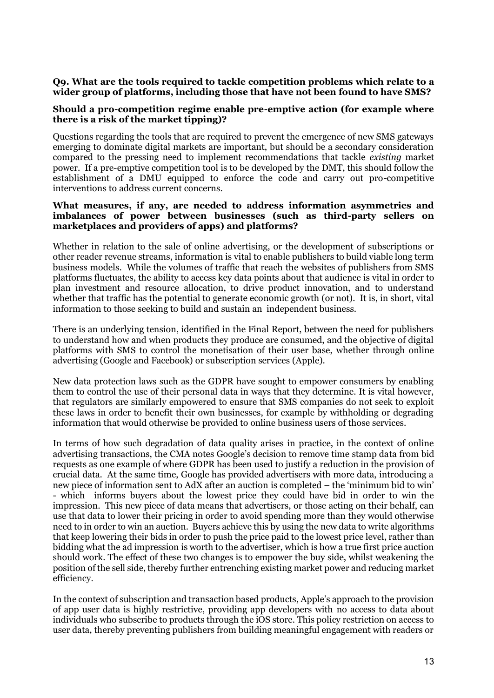## **Q9. What are the tools required to tackle competition problems which relate to a wider group of platforms, including those that have not been found to have SMS?**

#### **Should a pro-competition regime enable pre-emptive action (for example where there is a risk of the market tipping)?**

Questions regarding the tools that are required to prevent the emergence of new SMS gateways emerging to dominate digital markets are important, but should be a secondary consideration compared to the pressing need to implement recommendations that tackle *existing* market power. If a pre-emptive competition tool is to be developed by the DMT, this should follow the establishment of a DMU equipped to enforce the code and carry out pro-competitive interventions to address current concerns.

#### **What measures, if any, are needed to address information asymmetries and imbalances of power between businesses (such as third-party sellers on marketplaces and providers of apps) and platforms?**

Whether in relation to the sale of online advertising, or the development of subscriptions or other reader revenue streams, information is vital to enable publishers to build viable long term business models. While the volumes of traffic that reach the websites of publishers from SMS platforms fluctuates, the ability to access key data points about that audience is vital in order to plan investment and resource allocation, to drive product innovation, and to understand whether that traffic has the potential to generate economic growth (or not). It is, in short, vital information to those seeking to build and sustain an independent business.

There is an underlying tension, identified in the Final Report, between the need for publishers to understand how and when products they produce are consumed, and the objective of digital platforms with SMS to control the monetisation of their user base, whether through online advertising (Google and Facebook) or subscription services (Apple).

New data protection laws such as the GDPR have sought to empower consumers by enabling them to control the use of their personal data in ways that they determine. It is vital however, that regulators are similarly empowered to ensure that SMS companies do not seek to exploit these laws in order to benefit their own businesses, for example by withholding or degrading information that would otherwise be provided to online business users of those services.

In terms of how such degradation of data quality arises in practice, in the context of online advertising transactions, the CMA notes Google's decision to remove time stamp data from bid requests as one example of where GDPR has been used to justify a reduction in the provision of crucial data. At the same time, Google has provided advertisers with more data, introducing a new piece of information sent to AdX after an auction is completed – the 'minimum bid to win' - which informs buyers about the lowest price they could have bid in order to win the impression. This new piece of data means that advertisers, or those acting on their behalf, can use that data to lower their pricing in order to avoid spending more than they would otherwise need to in order to win an auction. Buyers achieve this by using the new data to write algorithms that keep lowering their bids in order to push the price paid to the lowest price level, rather than bidding what the ad impression is worth to the advertiser, which is how a true first price auction should work. The effect of these two changes is to empower the buy side, whilst weakening the position of the sell side, thereby further entrenching existing market power and reducing market efficiency.

In the context of subscription and transaction based products, Apple's approach to the provision of app user data is highly restrictive, providing app developers with no access to data about individuals who subscribe to products through the iOS store. This policy restriction on access to user data, thereby preventing publishers from building meaningful engagement with readers or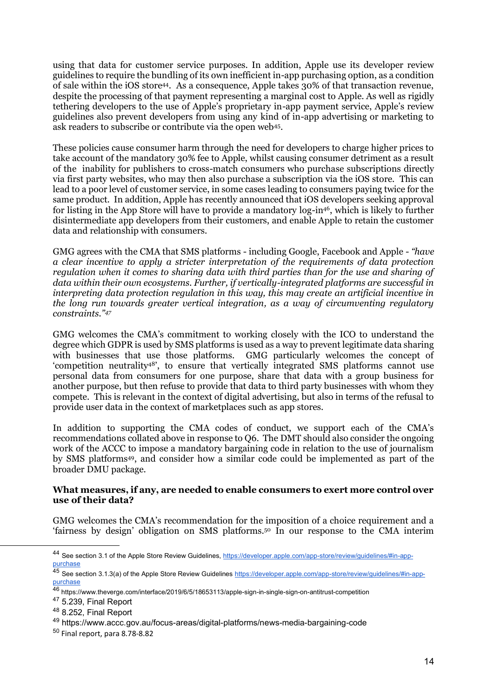using that data for customer service purposes. In addition, Apple use its developer review guidelines to require the bundling of its own inefficient in-app purchasing option, as a condition of sale within the iOS store44. As a consequence, Apple takes 30% of that transaction revenue, despite the processing of that payment representing a marginal cost to Apple. As well as rigidly tethering developers to the use of Apple's proprietary in-app payment service, Apple's review guidelines also prevent developers from using any kind of in-app advertising or marketing to ask readers to subscribe or contribute via the open web<sup>45</sup> .

These policies cause consumer harm through the need for developers to charge higher prices to take account of the mandatory 30% fee to Apple, whilst causing consumer detriment as a result of the inability for publishers to cross-match consumers who purchase subscriptions directly via first party websites, who may then also purchase a subscription via the iOS store. This can lead to a poor level of customer service, in some cases leading to consumers paying twice for the same product. In addition, Apple has recently announced that iOS developers seeking approval for listing in the App Store will have to provide a mandatory log-in<sup>46</sup>, which is likely to further disintermediate app developers from their customers, and enable Apple to retain the customer data and relationship with consumers.

GMG agrees with the CMA that SMS platforms - including Google, Facebook and Apple - *"have a clear incentive to apply a stricter interpretation of the requirements of data protection regulation when it comes to sharing data with third parties than for the use and sharing of data within their own ecosystems. Further, if vertically-integrated platforms are successful in interpreting data protection regulation in this way, this may create an artificial incentive in the long run towards greater vertical integration, as a way of circumventing regulatory constraints."<sup>47</sup>*

GMG welcomes the CMA's commitment to working closely with the ICO to understand the degree which GDPR is used by SMS platforms is used as a way to prevent legitimate data sharing with businesses that use those platforms. GMG particularly welcomes the concept of 'competition neutrality48', to ensure that vertically integrated SMS platforms cannot use personal data from consumers for one purpose, share that data with a group business for another purpose, but then refuse to provide that data to third party businesses with whom they compete. This is relevant in the context of digital advertising, but also in terms of the refusal to provide user data in the context of marketplaces such as app stores.

In addition to supporting the CMA codes of conduct, we support each of the CMA's recommendations collated above in response to Q6. The DMT should also consider the ongoing work of the ACCC to impose a mandatory bargaining code in relation to the use of journalism by SMS platforms49, and consider how a similar code could be implemented as part of the broader DMU package.

#### **What measures, if any, are needed to enable consumers to exert more control over use of their data?**

GMG welcomes the CMA's recommendation for the imposition of a choice requirement and a 'fairness by design' obligation on SMS platforms.<sup>50</sup> In our response to the CMA interim

<sup>44</sup> See section 3.1 of the Apple Store Review Guidelines[, https://developer.apple.com/app-store/review/guidelines/#in-app](https://developer.apple.com/app-store/review/guidelines/#in-app-purchase)[purchase](https://developer.apple.com/app-store/review/guidelines/#in-app-purchase)

<sup>45</sup> See section 3.1.3(a) of the Apple Store Review Guidelines [https://developer.apple.com/app-store/review/guidelines/#in-app](https://developer.apple.com/app-store/review/guidelines/#in-app-purchase)[purchase](https://developer.apple.com/app-store/review/guidelines/#in-app-purchase)

<sup>46</sup> https://www.theverge.com/interface/2019/6/5/18653113/apple-sign-in-single-sign-on-antitrust-competition

 $47$  5.239, Final Report

<sup>48</sup> 8.252, Final Report

<sup>49</sup> https://www.accc.gov.au/focus-areas/digital-platforms/news-media-bargaining-code

<sup>50</sup> Final report, para 8.78-8.82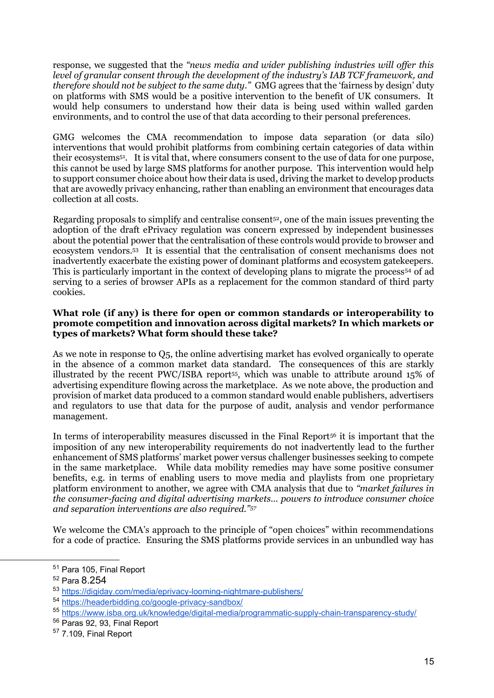response, we suggested that the *"news media and wider publishing industries will offer this level of granular consent through the development of the industry's IAB TCF framework, and therefore should not be subject to the same duty."* GMG agrees that the 'fairness by design' duty on platforms with SMS would be a positive intervention to the benefit of UK consumers. It would help consumers to understand how their data is being used within walled garden environments, and to control the use of that data according to their personal preferences.

GMG welcomes the CMA recommendation to impose data separation (or data silo) interventions that would prohibit platforms from combining certain categories of data within their ecosystems51. It is vital that, where consumers consent to the use of data for one purpose, this cannot be used by large SMS platforms for another purpose. This intervention would help to support consumer choice about how their data is used, driving the market to develop products that are avowedly privacy enhancing, rather than enabling an environment that encourages data collection at all costs.

Regarding proposals to simplify and centralise consent<sup>52</sup>, one of the main issues preventing the adoption of the draft ePrivacy regulation was concern expressed by independent businesses about the potential power that the centralisation of these controls would provide to browser and ecosystem vendors.<sup>53</sup> It is essential that the centralisation of consent mechanisms does not inadvertently exacerbate the existing power of dominant platforms and ecosystem gatekeepers. This is particularly important in the context of developing plans to migrate the process<sup>54</sup> of ad serving to a series of browser APIs as a replacement for the common standard of third party cookies.

## **What role (if any) is there for open or common standards or interoperability to promote competition and innovation across digital markets? In which markets or types of markets? What form should these take?**

As we note in response to Q5, the online advertising market has evolved organically to operate in the absence of a common market data standard. The consequences of this are starkly illustrated by the recent PWC/ISBA report55, which was unable to attribute around 15% of advertising expenditure flowing across the marketplace. As we note above, the production and provision of market data produced to a common standard would enable publishers, advertisers and regulators to use that data for the purpose of audit, analysis and vendor performance management.

In terms of interoperability measures discussed in the Final Report<sup>56</sup> it is important that the imposition of any new interoperability requirements do not inadvertently lead to the further enhancement of SMS platforms' market power versus challenger businesses seeking to compete in the same marketplace. While data mobility remedies may have some positive consumer benefits, e.g. in terms of enabling users to move media and playlists from one proprietary platform environment to another, we agree with CMA analysis that due to *"market failures in the consumer-facing and digital advertising markets… powers to introduce consumer choice and separation interventions are also required."<sup>57</sup>*

We welcome the CMA's approach to the principle of "open choices" within recommendations for a code of practice. Ensuring the SMS platforms provide services in an unbundled way has

<sup>51</sup> Para 105, Final Report

<sup>52</sup> Para 8.254

<sup>53</sup> <https://digiday.com/media/eprivacy-looming-nightmare-publishers/>

<sup>54</sup> <https://headerbidding.co/google-privacy-sandbox/>

<sup>55</sup> <https://www.isba.org.uk/knowledge/digital-media/programmatic-supply-chain-transparency-study/>

<sup>56</sup> Paras 92, 93, Final Report

<sup>57</sup> 7.109, Final Report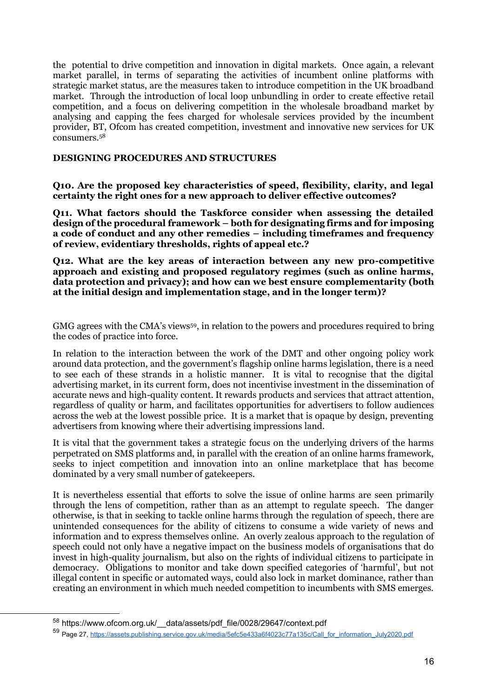the potential to drive competition and innovation in digital markets. Once again, a relevant market parallel, in terms of separating the activities of incumbent online platforms with strategic market status, are the measures taken to introduce competition in the UK broadband market. Through the introduction of local loop unbundling in order to create effective retail competition, and a focus on delivering competition in the wholesale broadband market by analysing and capping the fees charged for wholesale services provided by the incumbent provider, BT, Ofcom has created competition, investment and innovative new services for UK consumers.<sup>58</sup>

#### **DESIGNING PROCEDURES AND STRUCTURES**

**Q10. Are the proposed key characteristics of speed, flexibility, clarity, and legal certainty the right ones for a new approach to deliver effective outcomes?** 

**Q11. What factors should the Taskforce consider when assessing the detailed design of the procedural framework – both for designating firms and for imposing a code of conduct and any other remedies – including timeframes and frequency of review, evidentiary thresholds, rights of appeal etc.?** 

**Q12. What are the key areas of interaction between any new pro-competitive approach and existing and proposed regulatory regimes (such as online harms, data protection and privacy); and how can we best ensure complementarity (both at the initial design and implementation stage, and in the longer term)?**

GMG agrees with the CMA's views59, in relation to the powers and procedures required to bring the codes of practice into force.

In relation to the interaction between the work of the DMT and other ongoing policy work around data protection, and the government's flagship online harms legislation, there is a need to see each of these strands in a holistic manner. It is vital to recognise that the digital advertising market, in its current form, does not incentivise investment in the dissemination of accurate news and high-quality content. It rewards products and services that attract attention, regardless of quality or harm, and facilitates opportunities for advertisers to follow audiences across the web at the lowest possible price. It is a market that is opaque by design, preventing advertisers from knowing where their advertising impressions land.

It is vital that the government takes a strategic focus on the underlying drivers of the harms perpetrated on SMS platforms and, in parallel with the creation of an online harms framework, seeks to inject competition and innovation into an online marketplace that has become dominated by a very small number of gatekeepers.

It is nevertheless essential that efforts to solve the issue of online harms are seen primarily through the lens of competition, rather than as an attempt to regulate speech. The danger otherwise, is that in seeking to tackle online harms through the regulation of speech, there are unintended consequences for the ability of citizens to consume a wide variety of news and information and to express themselves online. An overly zealous approach to the regulation of speech could not only have a negative impact on the business models of organisations that do invest in high-quality journalism, but also on the rights of individual citizens to participate in democracy. Obligations to monitor and take down specified categories of 'harmful', but not illegal content in specific or automated ways, could also lock in market dominance, rather than creating an environment in which much needed competition to incumbents with SMS emerges.

<sup>58</sup> https://www.ofcom.org.uk/\_\_data/assets/pdf\_file/0028/29647/context.pdf

<sup>59</sup> Page 27[, https://assets.publishing.service.gov.uk/media/5efc5e433a6f4023c77a135c/Call\\_for\\_information\\_July2020.pdf](https://assets.publishing.service.gov.uk/media/5efc5e433a6f4023c77a135c/Call_for_information_July2020.pdf)